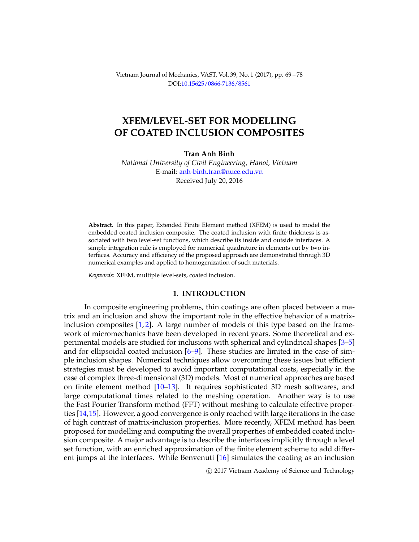Vietnam Journal of Mechanics, VAST, Vol. 39, No. 1 (2017), pp. 69 – 78 DOI[:10.15625/0866-7136/8561](http://dx.doi.org/10.15625/0866-7136/8561)

## **XFEM/LEVEL-SET FOR MODELLING OF COATED INCLUSION COMPOSITES**

### **Tran Anh Binh**

*National University of Civil Engineering, Hanoi, Vietnam* E-mail: [anh-binh.tran@nuce.edu.vn](mailto: anh-binh.tran@nuce.edu.vn) Received July 20, 2016

**Abstract.** In this paper, Extended Finite Element method (XFEM) is used to model the embedded coated inclusion composite. The coated inclusion with finite thickness is associated with two level-set functions, which describe its inside and outside interfaces. A simple integration rule is employed for numerical quadrature in elements cut by two interfaces. Accuracy and efficiency of the proposed approach are demonstrated through 3D numerical examples and applied to homogenization of such materials.

*Keywords*: XFEM, multiple level-sets, coated inclusion.

### **1. INTRODUCTION**

In composite engineering problems, thin coatings are often placed between a matrix and an inclusion and show the important role in the effective behavior of a matrixinclusion composites  $[1, 2]$  $[1, 2]$  $[1, 2]$ . A large number of models of this type based on the framework of micromechanics have been developed in recent years. Some theoretical and experimental models are studied for inclusions with spherical and cylindrical shapes [\[3–](#page-8-2)[5\]](#page-8-3) and for ellipsoidal coated inclusion [\[6–](#page-8-4)[9\]](#page-9-0). These studies are limited in the case of simple inclusion shapes. Numerical techniques allow overcoming these issues but efficient strategies must be developed to avoid important computational costs, especially in the case of complex three-dimensional (3D) models. Most of numerical approaches are based on finite element method [\[10](#page-9-1)[–13\]](#page-9-2). It requires sophisticated 3D mesh softwares, and large computational times related to the meshing operation. Another way is to use the Fast Fourier Transform method (FFT) without meshing to calculate effective properties [\[14,](#page-9-3)[15\]](#page-9-4). However, a good convergence is only reached with large iterations in the case of high contrast of matrix-inclusion properties. More recently, XFEM method has been proposed for modelling and computing the overall properties of embedded coated inclusion composite. A major advantage is to describe the interfaces implicitly through a level set function, with an enriched approximation of the finite element scheme to add different jumps at the interfaces. While Benvenuti [\[16\]](#page-9-5) simulates the coating as an inclusion

c 2017 Vietnam Academy of Science and Technology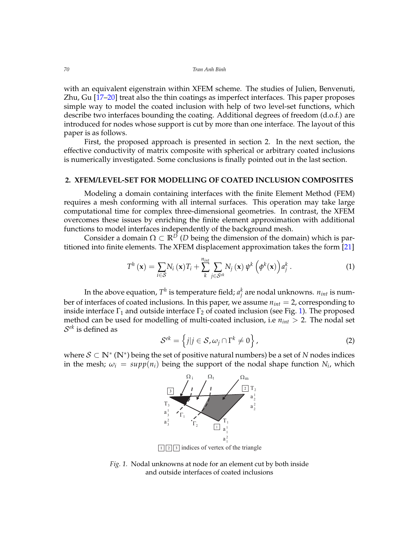with an equivalent eigenstrain within XFEM scheme. The studies of Julien, Benvenuti, Zhu, Gu [\[17–](#page-9-6)[20\]](#page-9-7) treat also the thin coatings as imperfect interfaces. This paper proposes simple way to model the coated inclusion with help of two level-set functions, which describe two interfaces bounding the coating. Additional degrees of freedom (d.o.f.) are introduced for nodes whose support is cut by more than one interface. The layout of this paper is as follows.

First, the proposed approach is presented in section 2. In the next section, the effective conductivity of matrix composite with spherical or arbitrary coated inclusions is numerically investigated. Some conclusions is finally pointed out in the last section.

### **2. XFEM/LEVEL-SET FOR MODELLING OF COATED INCLUSION COMPOSITES**

Modeling a domain containing interfaces with the finite Element Method (FEM) requires a mesh conforming with all internal surfaces. This operation may take large computational time for complex three-dimensional geometries. In contrast, the XFEM overcomes these issues by enriching the finite element approximation with additional functions to model interfaces independently of the background mesh.

Consider a domain  $\Omega \subset \mathbb{R}^D$  (*D* being the dimension of the domain) which is partitioned into finite elements. The XFEM displacement approximation takes the form [\[21\]](#page-9-8)

<span id="page-1-1"></span>
$$
T^{h}(\mathbf{x}) = \sum_{i \in \mathcal{S}} N_{i}(\mathbf{x}) T_{i} + \sum_{k}^{n_{int}} \sum_{j \in \mathcal{S}^{ek}} N_{j}(\mathbf{x}) \psi^{k}(\phi^{k}(\mathbf{x})) a_{j}^{k}.
$$
 (1)

In the above equation,  $T^h$  is temperature field;  $a_j^k$  are nodal unknowns.  $n_{int}$  is number of interfaces of coated inclusions. In this paper, we assume *nint* = 2, corresponding to inside interface  $\Gamma_1$  and outside interface  $\Gamma_2$  of coated inclusion (see Fig. [1\)](#page-1-0). The proposed method can be used for modelling of multi-coated inclusion, i.e  $n_{int}$  > 2. The nodal set  $\mathcal{S}^{ek}$  is defined as

$$
S^{ek} = \left\{ j | j \in S, \omega_j \cap \Gamma^k \neq 0 \right\},\tag{2}
$$

where S ⊂ **N**<sup>∗</sup> (**N**∗ ) being the set of positive natural numbers) be a set of *N* nodes indices in the mesh;  $\omega_i = \sup p(n_i)$  being the support of the nodal shape function  $N_i$ , which



 $\lceil \frac{1}{2} \rceil$  indices of vertex of the triangle

<span id="page-1-0"></span>Fig. 1. Nodal unknowns at node for an element cut by both inside and outside interfaces of coated inclusions.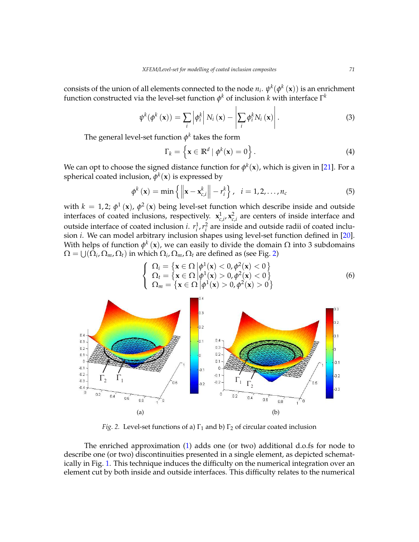consists of the union of all elements connected to the node  $n_i.$   $\psi^k(\phi^k\left(\mathbf{x}\right))$  is an enrichment function constructed via the level-set function  $\phi^k$  of inclusion  $k$  with interface  $\Gamma^k$ 

$$
\psi^{k}(\phi^{k}(\mathbf{x})) = \sum_{i} \left| \phi^{k}_{i} \right| N_{i}(\mathbf{x}) - \left| \sum_{i} \phi^{k}_{i} N_{i}(\mathbf{x}) \right|.
$$
\n(3)

The general level-set function  $\phi^k$  takes the form

$$
\Gamma_k = \left\{ \mathbf{x} \in \mathbb{R}^d \mid \phi^k(\mathbf{x}) = 0 \right\}.
$$
 (4)

We can opt to choose the signed distance function for  $\phi^k(\mathbf{x})$ , which is given in [\[21\]](#page-9-8). For a spherical coated inclusion,  $\phi^k(\mathbf{x})$  is expressed by

$$
\phi^{k}\left(\mathbf{x}\right) = \min\left\{ \left\| \mathbf{x} - \mathbf{x}_{c,i}^{k} \right\| - r_{i}^{k} \right\}, \quad i = 1, 2, \ldots, n_{c} \tag{5}
$$

with  $k = 1,2; \phi^1(\mathbf{x})$ ,  $\phi^2(\mathbf{x})$  being level-set function which describe inside and outside interfaces of coated inclusions, respectively.  $\mathbf{x}_{c,i}^1$ ,  $\mathbf{x}_{c,i}^2$  are centers of inside interface and outside interface of coated inclusion *i*.  $r_i^1$ ,  $r_i^2$  are inside and outside radii of coated inclusion *i*. We can model arbitrary inclusion shapes using level-set function defined in [\[20\]](#page-9-7). With helps of function  $\phi^k\left(\mathbf{x}\right)$ , we can easily to divide the domain  $\Omega$  into 3 subdomains  $\Omega = \bigcup(\Omega_i, \Omega_m, \Omega_t)$  in which  $\Omega_i, \Omega_m, \Omega_t$  are defined as (see Fig. [2\)](#page-2-0)

$$
\begin{cases}\n\Omega_i = \left\{ \mathbf{x} \in \Omega \middle| \phi^1(\mathbf{x}) < 0, \phi^2(\mathbf{x}) < 0 \right\} \\
\Omega_t = \left\{ \mathbf{x} \in \Omega \middle| \phi^1(\mathbf{x}) > 0, \phi^2(\mathbf{x}) < 0 \right\} \\
\Omega_m = \left\{ \mathbf{x} \in \Omega \middle| \phi^1(\mathbf{x}) > 0, \phi^2(\mathbf{x}) > 0 \right\}\n\end{cases}\n\tag{6}
$$



<span id="page-2-0"></span>*Fig.* 2. Level-set functions of a)  $\Gamma_1$  and b)  $\Gamma_2$  of circular coated inclusion

escribe one (or two) discontinuities presented in a single element, as depicted schematelement cut by both inside and outside interfaces. This difficulty relates to the numerical ically in Fig. 1. This technique induces the difficulty on the numerical integration over an describe one (or two) discontinuities presented in a single element, as depicted schemat-<br>describe one (or two) discontinuities presented in a single element, as depicted schemat-1 2 The enriched approximation [\(1\)](#page-1-1) adds one (or two) additional d.o.fs for node to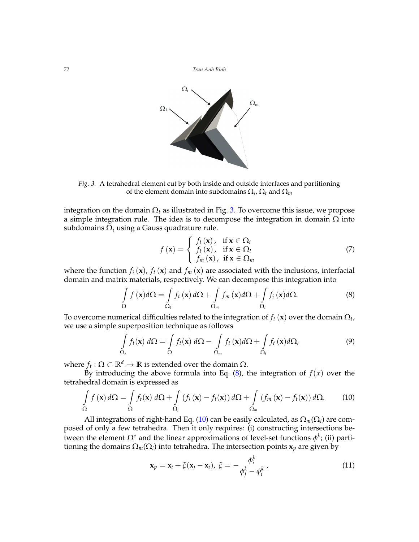

<span id="page-3-0"></span>Fig. 3. A tetrahedral element cut by both inside and outside interfaces and partitioning of the element domain into subdomains  $\Omega_i$ ,  $\Omega_t$  and  $\Omega_m$ 

 $\alpha$  subdomains  $\Omega_i$  using a Gauss quadrature rule. a simple integration rule. The idea is to decompose the integration in domain  $\Omega$  into integration on the domain  $\Omega_t$  as illustrated in Fig. [3.](#page-3-0) To overcome this issue, we propose

$$
f(\mathbf{x}) = \begin{cases} f_i(\mathbf{x}), & \text{if } \mathbf{x} \in \Omega_i \\ f_t(\mathbf{x}), & \text{if } \mathbf{x} \in \Omega_t \\ f_m(\mathbf{x}), & \text{if } \mathbf{x} \in \Omega_m \end{cases}
$$
(7)

where the function  $f_i(\mathbf{x})$ ,  $f_t(\mathbf{x})$  and  $f_m(\mathbf{x})$  are associated with the inclusions, interfacial domain and matrix materials, respectively. We can decompose this integration into

<span id="page-3-1"></span>
$$
\int_{\Omega} f(\mathbf{x}) d\Omega = \int_{\Omega_t} f_t(\mathbf{x}) d\Omega + \int_{\Omega_m} f_m(\mathbf{x}) d\Omega + \int_{\Omega_i} f_i(\mathbf{x}) d\Omega.
$$
\n(8)

To overcome numerical difficulties related to the integration of  $f_t\left(\mathbf{x}\right)$  over the domain  $\Omega_t$ , we use a simple superposition technique as follows<br>
we use a simple superposition technique as follows

$$
\int_{\Omega_t} f_t(\mathbf{x}) \, d\Omega = \int_{\Omega} f_t(\mathbf{x}) \, d\Omega - \int_{\Omega_m} f_t(\mathbf{x}) d\Omega + \int_{\Omega_i} f_t(\mathbf{x}) d\Omega, \tag{9}
$$

 $\mathbb{R}^d \to \mathbb{R}$  is extended over the where  $f_t : \Omega \subset \mathbb{R}^d \to \mathbb{R}$  is extended over the domain  $\Omega$ .

By introducing the above formula into Eq.  $(8)$ , the integration of  $f(x)$  over the tetrahedral domain is expressed as

<span id="page-3-2"></span>
$$
\int_{\Omega} f(\mathbf{x}) d\Omega = \int_{\Omega} f_t(\mathbf{x}) d\Omega + \int_{\Omega_i} (f_i(\mathbf{x}) - f_t(\mathbf{x})) d\Omega + \int_{\Omega_m} (f_m(\mathbf{x}) - f_t(\mathbf{x})) d\Omega.
$$
 (10)

posed of only a few tetrahedra. Then it only requires: (i) constructing intersections betioning the domains  $\Omega_m(\Omega_i)$  into tetrahedra. The intersection points  $\mathbf{x}_p$  are given by posed of only a few tetrahedra. Then it only requires: (i) constructing intersections be-<br>tween the element Ω<sup>e</sup> and the linear approximations of level-set functions φ<sup>k</sup>; (ii) parti-All integrations of right-hand Eq. [\(10\)](#page-3-2) can be easily calculated, as  $\Omega_m(\Omega_i)$  are com-

$$
\mathbf{x}_p = \mathbf{x}_i + \xi(\mathbf{x}_j - \mathbf{x}_i), \ \xi = -\frac{\phi_i^k}{\phi_j^k - \phi_i^k}, \qquad (11)
$$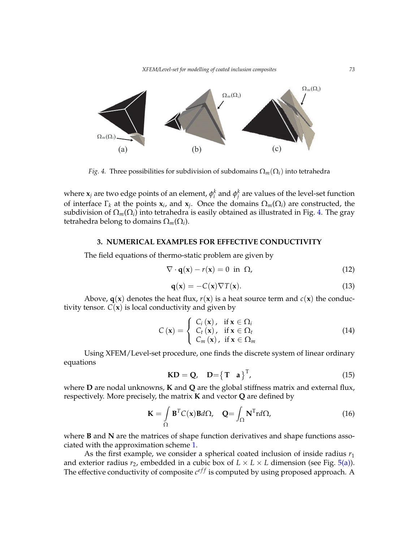*XFEM/Level-set for modelling of coated inclusion composites 73*



<span id="page-4-0"></span>*Fig. 4.* Three possibilities for subdivision of subdomains  $\Omega_m(\Omega_i)$  into tetrahedra

where  $\mathbf{x}_j$  are two edge points of an element,  $\phi_i^k$  and  $\phi_j^k$  are values of the level-set function of interface  $\Gamma_k$  at the points  $\mathbf{x}_i$ , and  $\mathbf{x}_j$ . Once the domains  $\Omega_m(\Omega_i)$  are constructed, the subdivisionof  $\Omega_m(\Omega_i)$  into tetrahedra is easily obtained as illustrated in Fig. 4. The gray tetrahedra belong to domains  $\Omega_m(\Omega_i)$ .

# 3. NUMERICAL EXAMPLES FOR EFFECTIVE CONDUCTIVITY

 $\frac{1}{2}$  =  $\frac{1}{2}$ ,  $\frac{1}{2}$ ,  $\frac{1}{2}$ The field equations of thermo-static problem are given by  $\mathbf{y}$ 

$$
\nabla \cdot \mathbf{q}(\mathbf{x}) - r(\mathbf{x}) = 0 \text{ in } \Omega,
$$
 (12)

$$
\mathbf{q}(\mathbf{x}) = -C(\mathbf{x}) \nabla T(\mathbf{x}).\tag{13}
$$

Above, **q**(**x**) denotes the heat flux,  $r(\mathbf{x})$  is a heat source term and  $c(\mathbf{x})$  the conductivity tensor.  $C(x)$  is local conductivity and given by

$$
C(\mathbf{x}) = \begin{cases} C_i(\mathbf{x}), & \text{if } \mathbf{x} \in \Omega_i \\ C_t(\mathbf{x}), & \text{if } \mathbf{x} \in \Omega_t \\ C_m(\mathbf{x}), & \text{if } \mathbf{x} \in \Omega_m \end{cases}
$$
(14)

Using XFEM/Level-set procedure, one finds the discrete system of linear ordinary<br>
nearrations equations

$$
KD = Q, D = \begin{Bmatrix} T & a \end{Bmatrix}^T, \tag{15}
$$

respectively. More precisely, the matrix **K** and vector **Q** are defined by where **D** are nodal unknowns, **K** and **Q** are the global stiffness matrix and external flux,

$$
\mathbf{K} = \int_{\Omega} \mathbf{B}^{T} C(\mathbf{x}) \mathbf{B} d\Omega, \quad \mathbf{Q} = \int_{\Omega} \mathbf{N}^{T} r d\Omega,
$$
 (16)

 $\overline{\mathbf{A}}$ where **B** and **N** are the matrices of shape function derivatives and shape functions asso-<br>ciated with the approximation scheme 1 ciated with the approximation scheme [1.](#page-1-1)

The effective conductivity of composite  $c^{eff}$  is computed by using proposed approach. A As the first example, we consider a spherical coated inclusion of inside radius *r*<sup>1</sup> and exterior radius  $r_2$ , embedded in a cubic box of  $L \times L \times L$  dimension (see Fig. [5\(a\)\)](#page-5-0).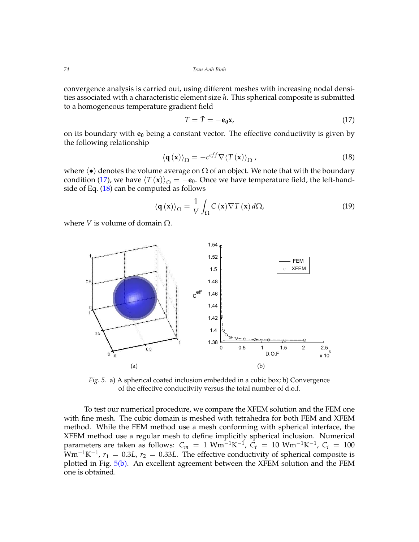convergence analysis is carried out, using different meshes with increasing nodal densities associated with a characteristic element size *h*. This spherical composite is submitted to a homogeneous temperature gradient field

<span id="page-5-1"></span>
$$
T = \bar{T} = -\mathbf{e}_0 \mathbf{x},\tag{17}
$$

on its boundary with **e<sup>0</sup>** being a constant vector. The effective conductivity is given by the following relationship

<span id="page-5-2"></span>
$$
\langle \mathbf{q}(\mathbf{x}) \rangle_{\Omega} = -c^{eff} \nabla \langle T(\mathbf{x}) \rangle_{\Omega}, \qquad (18)
$$

where  $\langle \bullet \rangle$  denotes the volume average on  $\Omega$  of an object. We note that with the boundary condition [\(17\)](#page-5-1), we have  $\langle T(\mathbf{x}) \rangle_{\Omega} = -\mathbf{e}_0$ . Once we have temperature field, the left-handside of Eq.  $(18)$  can be computed as follows

$$
\langle \mathbf{q}(\mathbf{x}) \rangle_{\Omega} = \frac{1}{V} \int_{\Omega} C(\mathbf{x}) \nabla T(\mathbf{x}) d\Omega, \tag{19}
$$

<span id="page-5-0"></span>where *V* is volume of domain  $Ω$ .



<span id="page-5-3"></span>Fig. 5. a) A spherical coated inclusion embedded in a cubic box; b) Convergence  $\sigma$  of the effective conductivity versus the total number of d.o.f. of the effective conductivity versus the total number of d.o.f.

WHIT THE THESH. The CLOIC CLOINAIN IS INESTED WHIT TELL AND TOONT TELM AND ATEM method. While the FEM method use a mesh conforming with spherical interface, the with fine mesh. The cubic domain is meshed with tetrahedra for both FEM and XFEM  $X$ <sup>1</sup> Extra metrical domain  $X$  is a regular mestric define implicitly spherical inclusion. Numerical parameters are taken as follows:  $C_m = 1$  Wm<sup>-1</sup>K<sup>-1</sup>,  $C_t = 10$  Wm<sup>-1</sup>K<sup>-1</sup>,  $C_i = 100$  $Vm^{-1}K^{-1}$ ,  $r_1 = 0.3L$ ,  $r_2 = 0.33L$ . The effective conductivity of spherical composite is plotted in Fig.  $5(b)$ . An excellent agreement between the XFEM solution and the FEM one is obtained. hethod. While the FEM method use a mesh conforming whit spherical interface, the<br>XFEM method use a regular mesh to define implicitly spherical inclusion. Numerical To test our numerical procedure, we compare the XFEM solution and the FEM one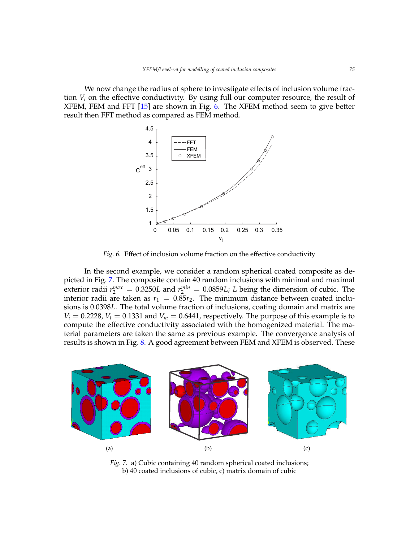We now change the radius of sphere to investigate effects of inclusion volume fraction  $V_i$  on the effective conductivity. By using full our computer resource, the result of XFEM, FEM and FFT [\[15\]](#page-9-4) are shown in Fig. [6.](#page-6-0) The XFEM method seem to give better result then FFT method as compared as FEM method.



<span id="page-6-0"></span>Fig. 6. Effect of inclusion volume fraction on the effective conductivity net as one of the check of the contractive contract to the contract of the contract of the contract of the contract of the contract of the contract of the contract of the contract of the contract of the contract of the con 1 iciusión volume fraction on the effective condu

In the second example, we consider a random spherical coated composite as depicted in Fig. [7.](#page-6-1) The composite contain 40 random inclusions with minimal and maximal exterior radii  $r_2^{max} = 0.3250L$  and  $r_2^{min} = 0.0859L$ ; *L* being the dimension of cubic. The interior radii are taken as  $r_1 = 0.85r_2$ . The minimum distance between coated inclusions is 0.0398*L*. The total volume fraction of inclusions, coating domain and matrix are  $V_i = 0.2228$ ,  $V_t = 0.1331$  and  $V_m = 0.6441$ , respectively. The purpose of this example is to compute the effective conductivity associated with the homogenized material. The material parameters are taken the same as previous example. The convergence analysis of results is shown in Fig. [8.](#page-7-0) A good agreement between FEM and XFEM is observed. These ronde picted in Fig. 7. The composite contain 40 random inclusions with minimal and maximal<br>existence distribution of 2250L and with a 0.0950L. Laking the disconsistence which The



<span id="page-6-1"></span> $F_1$ ,  $F_2$ . a) Cubic containing 40 random spherical coated inclusions; b) 40 coated inclusions of cubic, c) matrix domain of cubic coated inclusions of cubic, b) matrix domain of cubic. Fig. 7. a) Cubic containing 40 random spherical coated inclusions;<br>b) 40 coated inclusions of cubic c) matrix domain of cubic coated inclusions of cubic, b) matrix domain of cubic, b) matrix domain of cubic, b) matrix domain of cubic.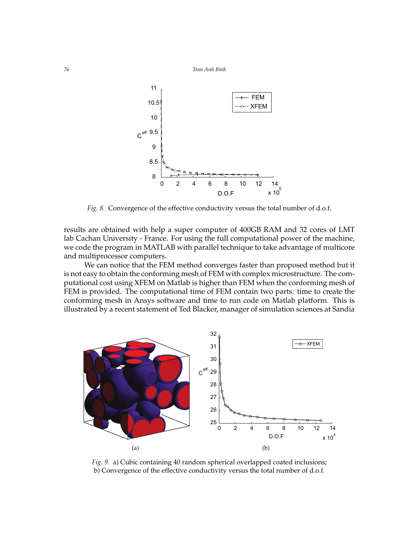

<span id="page-7-0"></span>*Fig. 8.* Convergence of the effective conductivity versus the total number of d.o.f.

results are obtained with help a super computer of 400GB RAM and 32 cores of LMT lab Cachan University - France. For using the full computational power of the machine, we code the program in MATLAB with parallel technique to take advantage of multicore and multiprocessor computers.

We can notice that the FEM method converges faster than proposed method but it is not easy to obtain the conforming mesh of FEM with complex microstructure. The computational cost using XFEM on Matlab is higher than FEM when the conforming mesh of FEM is provided. The computational time of FEM contain two parts: time to create the conforming mesh in Ansys software and time to run code on Matlab platform. This is illustrated by a recent statement of Ted Blacker, manager of simulation sciences at Sandia

<span id="page-7-1"></span>

<span id="page-7-2"></span>b) Convergence of the effective conductivity versus the total number of d.o.f. sions ; b) Convergence of the effective conductivity versus the total number Fig. 9. a) Cubic containing 40 random spherical overlapped coated inclusions;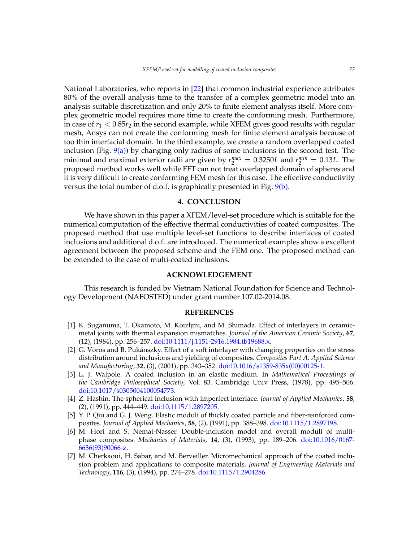National Laboratories, who reports in [\[22\]](#page-9-9) that common industrial experience attributes 80% of the overall analysis time to the transfer of a complex geometric model into an analysis suitable discretization and only 20% to finite element analysis itself. More complex geometric model requires more time to create the conforming mesh. Furthermore, in case of  $r_1 < 0.85r_2$  in the second example, while XFEM gives good results with regular mesh, Ansys can not create the conforming mesh for finite element analysis because of too thin interfacial domain. In the third example, we create a random overlapped coated inclusion (Fig.  $9(a)$ ) by changing only radius of some inclusions in the second test. The minimal and maximal exterior radii are given by  $r_2^{max} = 0.3250L$  and  $r_2^{min} = 0.13L$ . The proposed method works well while FFT can not treat overlapped domain of spheres and it is very difficult to create conforming FEM mesh for this case. The effective conductivity versus the total number of d.o.f. is graphically presented in Fig. [9\(b\).](#page-7-2)

### **4. CONCLUSION**

We have shown in this paper a XFEM/level-set procedure which is suitable for the numerical computation of the effective thermal conductivities of coated composites. The proposed method that use multiple level-set functions to describe interfaces of coated inclusions and additional d.o.f. are introduced. The numerical examples show a excellent agreement between the proposed scheme and the FEM one. The proposed method can be extended to the case of multi-coated inclusions.

### **ACKNOWLEDGEMENT**

This research is funded by Vietnam National Foundation for Science and Technology Development (NAFOSTED) under grant number 107.02-2014.08.

### **REFERENCES**

- <span id="page-8-0"></span>[1] K. Suganuma, T. Okamoto, M. Koizljmi, and M. Shimada. Effect of interlayers in ceramicmetal joints with thermal expansion mismatches. *Journal of the American Ceramic Society*, **67**, (12), (1984), pp. 256–257. [doi:10.1111/j.1151-2916.1984.tb19688.x.](http://dx.doi.org/10.1111/j.1151-2916.1984.tb19688.x)
- <span id="page-8-1"></span>[2] G. Vörös and B. Pukánszky. Effect of a soft interlayer with changing properties on the stress distribution around inclusions and yielding of composites. *Composites Part A: Applied Science and Manufacturing*, **32**, (3), (2001), pp. 343–352. [doi:10.1016/s1359-835x\(00\)00125-1.](http://dx.doi.org/10.1016/s1359-835x(00)00125-1)
- <span id="page-8-2"></span>[3] L. J. Walpole. A coated inclusion in an elastic medium. In *Mathematical Proceedings of the Cambridge Philosophical Society*, Vol. 83. Cambridge Univ Press, (1978), pp. 495–506. [doi:10.1017/s0305004100054773.](http://dx.doi.org/10.1017/s0305004100054773)
- [4] Z. Hashin. The spherical inclusion with imperfect interface. *Journal of Applied Mechanics*, **58**, (2), (1991), pp. 444–449. [doi:10.1115/1.2897205.](http://dx.doi.org/10.1115/1.2897205)
- <span id="page-8-3"></span>[5] Y. P. Qiu and G. J. Weng. Elastic moduli of thickly coated particle and fiber-reinforced composites. *Journal of Applied Mechanics*, **58**, (2), (1991), pp. 388–398. [doi:10.1115/1.2897198.](http://dx.doi.org/10.1115/1.2897198)
- <span id="page-8-4"></span>[6] M. Hori and S. Nemat-Nasser. Double-inclusion model and overall moduli of multiphase composites. *Mechanics of Materials*, **14**, (3), (1993), pp. 189–206. [doi:10.1016/0167-](http://dx.doi.org/10.1016/0167-6636(93)90066-z) [6636\(93\)90066-z.](http://dx.doi.org/10.1016/0167-6636(93)90066-z)
- [7] M. Cherkaoui, H. Sabar, and M. Berveiller. Micromechanical approach of the coated inclusion problem and applications to composite materials. *Journal of Engineering Materials and Technology*, **116**, (3), (1994), pp. 274–278. [doi:10.1115/1.2904286.](http://dx.doi.org/10.1115/1.2904286)